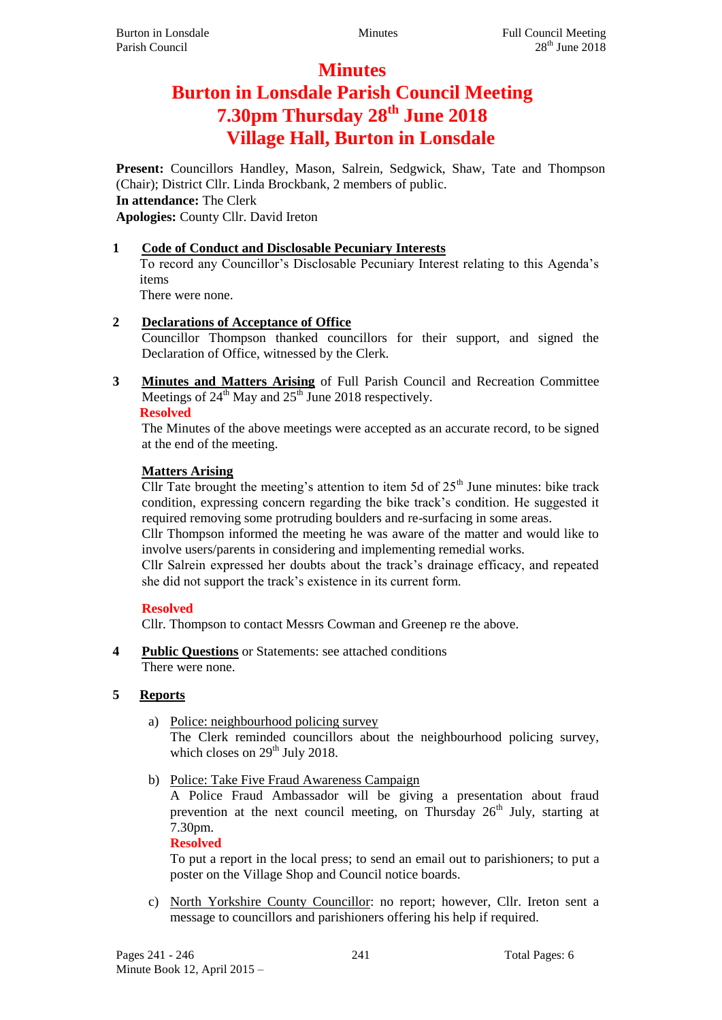# **Minutes**

# **Burton in Lonsdale Parish Council Meeting 7.30pm Thursday 28th June 2018 Village Hall, Burton in Lonsdale**

**Present:** Councillors Handley, Mason, Salrein, Sedgwick, Shaw, Tate and Thompson (Chair); District Cllr. Linda Brockbank, 2 members of public. **In attendance:** The Clerk **Apologies:** County Cllr. David Ireton

# **1 Code of Conduct and Disclosable Pecuniary Interests**

To record any Councillor's Disclosable Pecuniary Interest relating to this Agenda's items

There were none.

# **2 Declarations of Acceptance of Office**

Councillor Thompson thanked councillors for their support, and signed the Declaration of Office, witnessed by the Clerk.

**3 Minutes and Matters Arising** of Full Parish Council and Recreation Committee Meetings of  $24^{th}$  May and  $25^{th}$  June 2018 respectively.

**Resolved**

The Minutes of the above meetings were accepted as an accurate record, to be signed at the end of the meeting.

# **Matters Arising**

Cllr Tate brought the meeting's attention to item 5d of  $25<sup>th</sup>$  June minutes: bike track condition, expressing concern regarding the bike track's condition. He suggested it required removing some protruding boulders and re-surfacing in some areas.

Cllr Thompson informed the meeting he was aware of the matter and would like to involve users/parents in considering and implementing remedial works.

Cllr Salrein expressed her doubts about the track's drainage efficacy, and repeated she did not support the track's existence in its current form.

# **Resolved**

Cllr. Thompson to contact Messrs Cowman and Greenep re the above.

**4 Public Questions** or Statements: see attached conditions There were none.

# **5 Reports**

- a) Police: neighbourhood policing survey The Clerk reminded councillors about the neighbourhood policing survey, which closes on  $29<sup>th</sup>$  July 2018.
- b) Police: Take Five Fraud Awareness Campaign

A Police Fraud Ambassador will be giving a presentation about fraud prevention at the next council meeting, on Thursday  $26<sup>th</sup>$  July, starting at 7.30pm.

#### **Resolved**

To put a report in the local press; to send an email out to parishioners; to put a poster on the Village Shop and Council notice boards.

c) North Yorkshire County Councillor: no report; however, Cllr. Ireton sent a message to councillors and parishioners offering his help if required.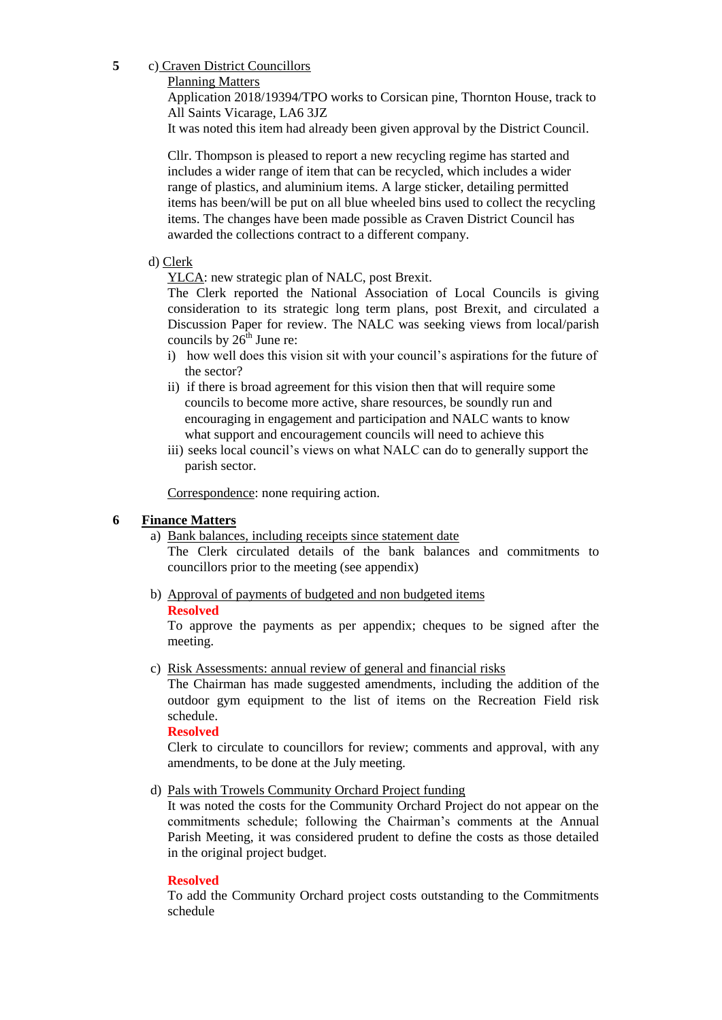**5** c) Craven District Councillors

Planning Matters

Application 2018/19394/TPO works to Corsican pine, Thornton House, track to All Saints Vicarage, LA6 3JZ

It was noted this item had already been given approval by the District Council.

Cllr. Thompson is pleased to report a new recycling regime has started and includes a wider range of item that can be recycled, which includes a wider range of plastics, and aluminium items. A large sticker, detailing permitted items has been/will be put on all blue wheeled bins used to collect the recycling items. The changes have been made possible as Craven District Council has awarded the collections contract to a different company.

#### d) Clerk

YLCA: new strategic plan of NALC, post Brexit.

The Clerk reported the National Association of Local Councils is giving consideration to its strategic long term plans, post Brexit, and circulated a Discussion Paper for review. The NALC was seeking views from local/parish councils by  $26<sup>th</sup>$  June re:

- i) how well does this vision sit with your council's aspirations for the future of the sector?
- ii) if there is broad agreement for this vision then that will require some councils to become more active, share resources, be soundly run and encouraging in engagement and participation and NALC wants to know what support and encouragement councils will need to achieve this
- iii) seeks local council's views on what NALC can do to generally support the parish sector.

Correspondence: none requiring action.

#### **6 Finance Matters**

#### a) Bank balances, including receipts since statement date

The Clerk circulated details of the bank balances and commitments to councillors prior to the meeting (see appendix)

b) Approval of payments of budgeted and non budgeted items **Resolved**

To approve the payments as per appendix; cheques to be signed after the meeting.

c) Risk Assessments: annual review of general and financial risks

The Chairman has made suggested amendments, including the addition of the outdoor gym equipment to the list of items on the Recreation Field risk schedule.

#### **Resolved**

Clerk to circulate to councillors for review; comments and approval, with any amendments, to be done at the July meeting.

d) Pals with Trowels Community Orchard Project funding

It was noted the costs for the Community Orchard Project do not appear on the commitments schedule; following the Chairman's comments at the Annual Parish Meeting, it was considered prudent to define the costs as those detailed in the original project budget.

#### **Resolved**

To add the Community Orchard project costs outstanding to the Commitments schedule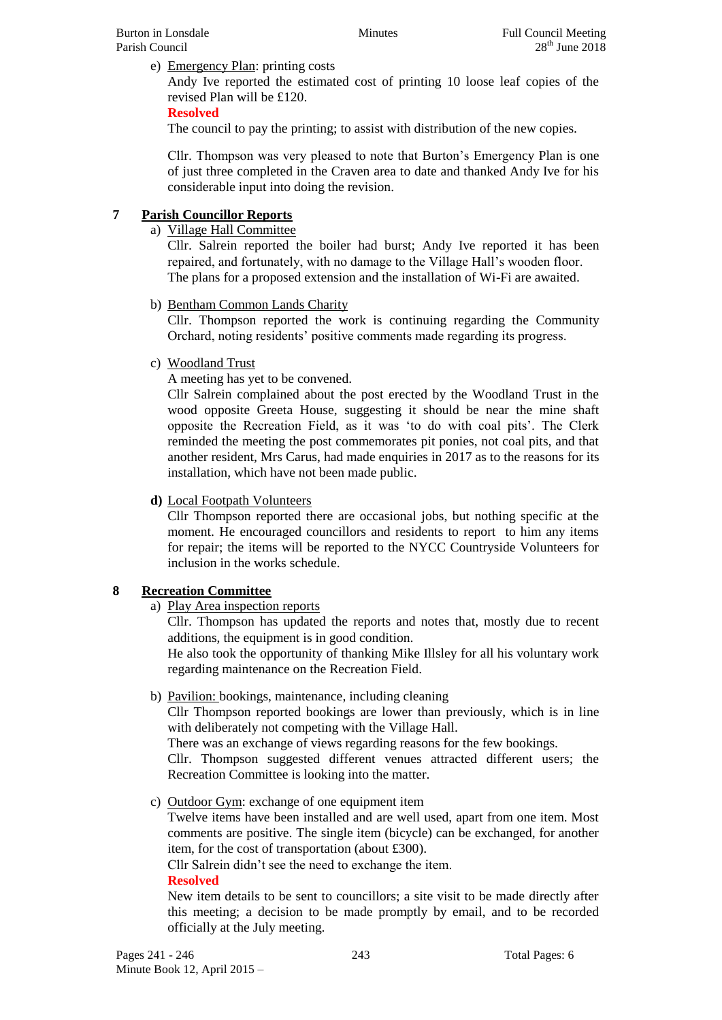e) Emergency Plan: printing costs

Andy Ive reported the estimated cost of printing 10 loose leaf copies of the revised Plan will be £120.

### **Resolved**

The council to pay the printing; to assist with distribution of the new copies.

Cllr. Thompson was very pleased to note that Burton's Emergency Plan is one of just three completed in the Craven area to date and thanked Andy Ive for his considerable input into doing the revision.

# **7 Parish Councillor Reports**

a) Village Hall Committee

Cllr. Salrein reported the boiler had burst; Andy Ive reported it has been repaired, and fortunately, with no damage to the Village Hall's wooden floor. The plans for a proposed extension and the installation of Wi-Fi are awaited.

b) Bentham Common Lands Charity

Cllr. Thompson reported the work is continuing regarding the Community Orchard, noting residents' positive comments made regarding its progress.

c) Woodland Trust

A meeting has yet to be convened.

Cllr Salrein complained about the post erected by the Woodland Trust in the wood opposite Greeta House, suggesting it should be near the mine shaft opposite the Recreation Field, as it was 'to do with coal pits'. The Clerk reminded the meeting the post commemorates pit ponies, not coal pits, and that another resident, Mrs Carus, had made enquiries in 2017 as to the reasons for its installation, which have not been made public.

#### **d)** Local Footpath Volunteers

Cllr Thompson reported there are occasional jobs, but nothing specific at the moment. He encouraged councillors and residents to report to him any items for repair; the items will be reported to the NYCC Countryside Volunteers for inclusion in the works schedule.

# **8 Recreation Committee**

a) Play Area inspection reports

Cllr. Thompson has updated the reports and notes that, mostly due to recent additions, the equipment is in good condition.

He also took the opportunity of thanking Mike Illsley for all his voluntary work regarding maintenance on the Recreation Field.

b) Pavilion: bookings, maintenance, including cleaning

Cllr Thompson reported bookings are lower than previously, which is in line with deliberately not competing with the Village Hall.

There was an exchange of views regarding reasons for the few bookings.

Cllr. Thompson suggested different venues attracted different users; the Recreation Committee is looking into the matter.

c) Outdoor Gym: exchange of one equipment item

Twelve items have been installed and are well used, apart from one item. Most comments are positive. The single item (bicycle) can be exchanged, for another item, for the cost of transportation (about £300).

Cllr Salrein didn't see the need to exchange the item.

#### **Resolved**

New item details to be sent to councillors; a site visit to be made directly after this meeting; a decision to be made promptly by email, and to be recorded officially at the July meeting.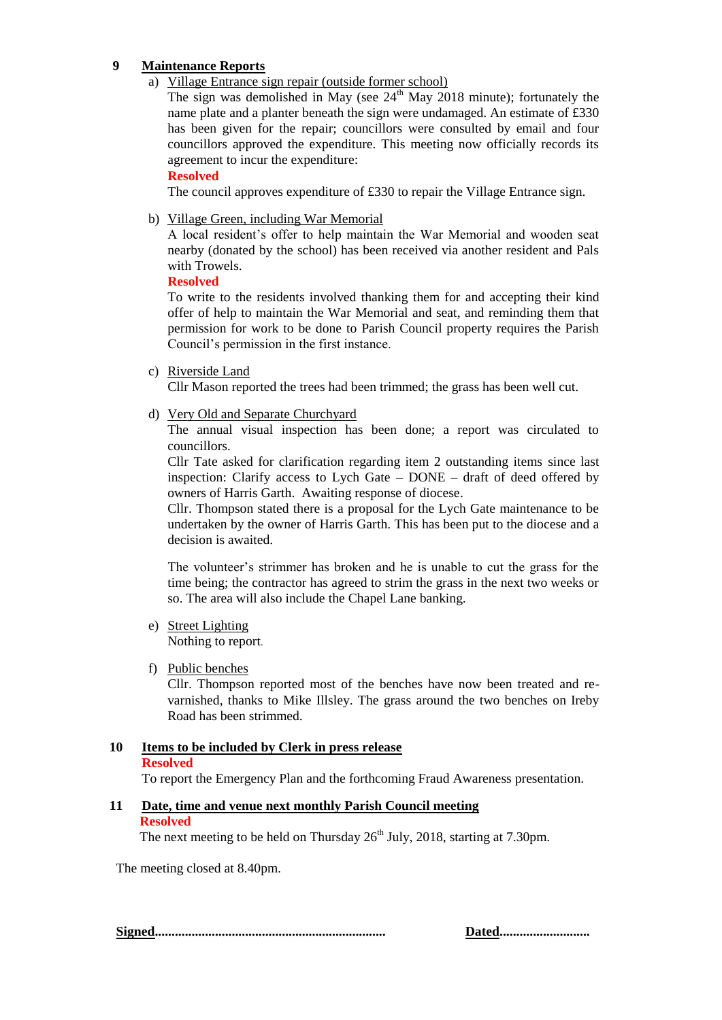## **9 Maintenance Reports**

a) Village Entrance sign repair (outside former school)

The sign was demolished in May (see  $24<sup>th</sup>$  May 2018 minute); fortunately the name plate and a planter beneath the sign were undamaged. An estimate of £330 has been given for the repair; councillors were consulted by email and four councillors approved the expenditure. This meeting now officially records its agreement to incur the expenditure:

#### **Resolved**

The council approves expenditure of £330 to repair the Village Entrance sign.

b) Village Green, including War Memorial

A local resident's offer to help maintain the War Memorial and wooden seat nearby (donated by the school) has been received via another resident and Pals with Trowels.

#### **Resolved**

To write to the residents involved thanking them for and accepting their kind offer of help to maintain the War Memorial and seat, and reminding them that permission for work to be done to Parish Council property requires the Parish Council's permission in the first instance.

c) Riverside Land

Cllr Mason reported the trees had been trimmed; the grass has been well cut.

d) Very Old and Separate Churchyard

The annual visual inspection has been done; a report was circulated to councillors.

Cllr Tate asked for clarification regarding item 2 outstanding items since last inspection: Clarify access to Lych Gate – DONE – draft of deed offered by owners of Harris Garth. Awaiting response of diocese.

Cllr. Thompson stated there is a proposal for the Lych Gate maintenance to be undertaken by the owner of Harris Garth. This has been put to the diocese and a decision is awaited.

The volunteer's strimmer has broken and he is unable to cut the grass for the time being; the contractor has agreed to strim the grass in the next two weeks or so. The area will also include the Chapel Lane banking.

e) Street Lighting

Nothing to report.

f) Public benches

Cllr. Thompson reported most of the benches have now been treated and revarnished, thanks to Mike Illsley. The grass around the two benches on Ireby Road has been strimmed.

# **10 Items to be included by Clerk in press release**

# **Resolved**

To report the Emergency Plan and the forthcoming Fraud Awareness presentation.

# **11 Date, time and venue next monthly Parish Council meeting**

#### **Resolved**

The next meeting to be held on Thursday  $26<sup>th</sup>$  July, 2018, starting at 7.30pm.

The meeting closed at 8.40pm.

**Signed..................................................................... Dated...........................**